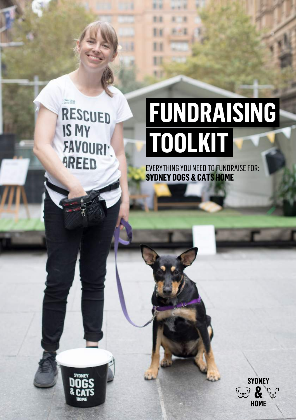**CONEY ODGE** RESCUED IS MY **FAVOURI-AREED** 

**SYDNEY** 

## **FUNDRAISING TOOLKIT**

EVERYTHING YOU NEED TO FUNDRAISE FOR: **SYDNEY DOGS & CATS HOME**

 $1 - 1$ 

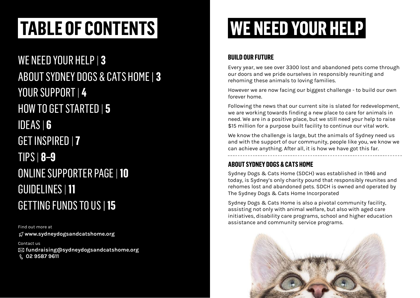## **TABLE OF CONTENTS WE NEED YOUR HELP**

WE NEED YOUR HELP | **3** ABOUT SYDNEY DOGS & CATS HOME | **3** YOUR SUPPORT | **4** HOW TO GET STARTED | **5** IDEAS | **6** GET INSPIRED |**7** TIPS | **8–9** ONLINE SUPPORTER PAGE |**10** GUIDELINES |**11** GETTING FUNDS TO US | **15**

Find out more at **<www.sydneydogsandcatshome.org>**

Contact us **[fundraising@sydneydogsandcatshome.org](mailto:fundraising%40sydneydogsandcatshome.org?subject=Fundraising%20for%20SDCH) 02 9587 9611**

### **BUILD OUR FUTURE**

Every year, we see over 3300 lost and abandoned pets come through our doors and we pride ourselves in responsibly reuniting and rehoming these animals to loving families.

However we are now facing our biggest challenge - to build our own forever home.

Following the news that our current site is slated for redevelopment, we are working towards finding a new place to care for animals in need. We are in a positive place, but we still need your help to raise \$15 million for a purpose built facility to continue our vital work.

We know the challenge is large, but the animals of Sydney need us and with the support of our community, people like you, we know we can achieve anything. After all, it is how we have got this far.

### **ABOUT SYDNEY DOGS & CATS HOME**

Sydney Dogs & Cats Home (SDCH) was established in 1946 and today, is Sydney's only charity pound that responsibly reunites and rehomes lost and abandoned pets. SDCH is owned and operated by The Sydney Dogs & Cats Home Incorporated

Sydney Dogs & Cats Home is also a pivotal community facility, assisting not only with animal welfare, but also with aged care initiatives, disability care programs, school and higher education assistance and community service programs.

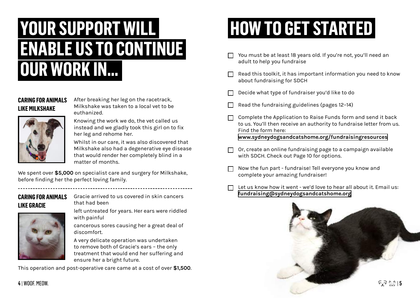### **YOUR SUPPORT WILL ENABLE US TO CONTINUE OUR WORK IN...**

### **CARING FOR ANIMALS LIKE MILKSHAKE**

After breaking her leg on the racetrack, Milkshake was taken to a local vet to be euthanized. Knowing the work we do, the vet called us



instead and we gladly took this girl on to fix

Whilst in our care, it was also discovered that Milkshake also had a degenerative eye disease that would render her completely blind in a matter of months.

We spent over **\$5,000** on specialist care and surgery for Milkshake, before finding her the perfect loving family.

### **CARING FOR ANIMALS LIKE GRACIE**

Gracie arrived to us covered in skin cancers that had been

left untreated for years. Her ears were riddled with painful

cancerous sores causing her a great deal of discomfort.

A very delicate operation was undertaken to remove both of Gracie's ears – the only treatment that would end her suffering and ensure her a bright future.

This operation and post-operative care came at a cost of over **\$1,500**.

## **HOW TO GET STARTED**

- You must be at least 18 years old. If you're not, you'll need an adult to help you fundraise
- Read this toolkit, it has important information you need to know about fundraising for SDCH
- Decide what type of fundraiser you'd like to do
- Read the fundraising guidelines (pages 12–14)
- Complete the Application to Raise Funds form and send it back to us. You'll then receive an authority to fundraise letter from us. Find the form here: **[www.sydneydogsandcatshome.org/fundraisingresources](www.sydneydogsandcatshome.org/fundraisingresources )**
- Or, create an online fundraising page to a campaign available with SDCH. Check out Page 10 for options.
- Now the fun part fundraise! Tell everyone you know and complete your amazing fundraiser!
- Let us know how it went we'd love to hear all about it. Email us: **[fundraising@sydneydogsandcatshome.org](mailto:fundraising%40sydneydogsandcatshome.org?subject=Fundraise%20for%20SDCH)**

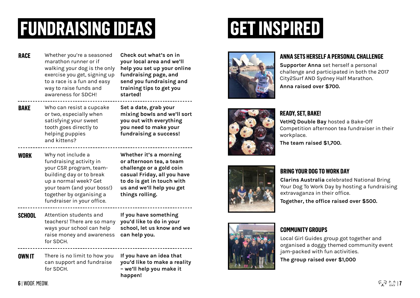## **FUNDRAISING IDEAS GET INSPIRED**

Whether you're a seasoned marathon runner or if walking your dog is the only exercise you get, signing up to a race is a fun and easy way to raise funds and awareness for SDCH! **RACE**

**Check out what's on in your local area and we'll help you set up your online fundraising page, and send you fundraising and training tips to get you started!**

Who can resist a cupcake or two, especially when satisfying your sweet tooth goes directly to helping puppies and kittens? **BAKE**

**Set a date, grab your mixing bowls and we'll sort you out with everything you need to make your fundraising a success!**

Why not include a fundraising activity in your CSR program, teambuilding day or to break up a normal week? Get your team (and your boss!) together by organising a fundraiser in your office. **WORK**

**Whether it's a morning or afternoon tea, a team challenge or a gold coin casual Friday, all you have to do is get in touch with us and we'll help you get things rolling.** 

Attention students and teachers! There are so many **you'd like to do in your**  ways your school can help raise money and awareness **can help you.** for SDCH. **SCHOOL**

**If you have something school, let us know and we** 

There is no limit to how you can support and fundraise for SDCH. **OWN IT**

**If you have an idea that you'd like to make a reality – we'll help you make it happen!**







### **ANNA SETS HERSELF A PERSONAL CHALLENGE**

**Supporter Anna** set herself a personal challenge and participated in both the 2017 City2Surf AND Sydney Half Marathon. **Anna raised over \$700.**

### **READY, SET, BAKE!**

**VetHQ Double Bay** hosted a Bake-Off Competition afternoon tea fundraiser in their workplace.

**The team raised \$1,700.**



#### **BRING YOUR DOG TO WORK DAY**

**Clarins Australia** celebrated National Bring Your Dog To Work Day by hosting a fundraising extravaganza in their office.

**Together, the office raised over \$500.**



#### **COMMUNITY GROUPS**

Local Girl Guides group got together and organised a doggy themed community event jam-packed with fun activities.

**The group raised over \$1,000**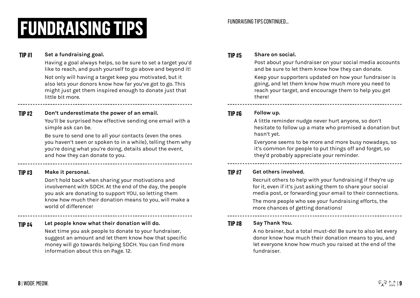## **FUNDRAISING TIPS**

#### FUNDRAISING TIPS CONTINUED...

#### **TIP #1 Set a fundraising goal.**

Having a goal always helps, so be sure to set a target you'd like to reach, and push yourself to go above and beyond it!

Not only will having a target keep you motivated, but it also lets your donors know how far you've got to go. This might just get them inspired enough to donate just that little bit more.

**TIP #2 Don't underestimate the power of an email.**

You'll be surprised how effective sending one email with a simple ask can be.

Be sure to send one to all your contacts (even the ones you haven't seen or spoken to in a while), telling them why you're doing what you're doing, details about the event, and how they can donate to you.

#### **TIP #3 Make it personal.**

Don't hold back when sharing your motivations and involvement with SDCH. At the end of the day, the people you ask are donating to support YOU, so letting them know how much their donation means to you, will make a world of difference!

**TIP #4 Let people know what their donation will do.**

Next time you ask people to donate to your fundraiser, suggest an amount and let them know how that specific money will go towards helping SDCH. You can find more information about this on Page. 12.

#### **TIP #5 Share on social.**

Post about your fundraiser on your social media accounts and be sure to let them know how they can donate. Keep your supporters updated on how your fundraiser is going, and let them know how much more you need to reach your target, and encourage them to help you get there!

**TIP #6 Follow up.**

A little reminder nudge never hurt anyone, so don't hesitate to follow up a mate who promised a donation but hasn't yet.

Everyone seems to be more and more busy nowadays, so it's common for people to put things off and forget, so they'd probably appreciate your reminder.

#### **TIP #7 Get others involved.**

Recruit others to help with your fundraising if they're up for it, even if it's just asking them to share your social media post, or forwarding your email to their connections.

The more people who see your fundraising efforts, the more chances of getting donations!

**TIP #8 Say Thank You.**

A no brainer, but a total must-do! Be sure to also let every donor know how much their donation means to you, and let everyone know how much you raised at the end of the fundraiser.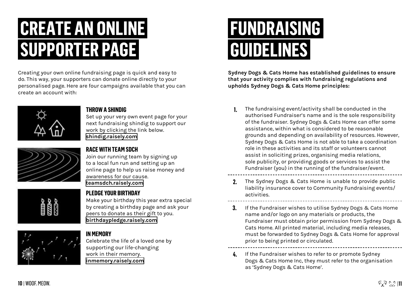### **CREATE AN ONLINE SUPPORTER PAGE**

Creating your own online fundraising page is quick and easy to do. This way, your supporters can donate online directly to your personalised page. Here are four campaigns available that you can create an account with:



### **THROW A SHINDIG**

Set up your very own event page for your next fundraising shindig to support our work by clicking the link below. **<shindig.raisely.com>**



#### **RACE WITH TEAM SDCH**

**PLEDGE YOUR BIRTHDAY**

Join our running team by signing up to a local fun run and setting up an online page to help us raise money and awareness for our cause. **<teamsdch.raisely.com>**

Make your birthday this year extra special

# by creating a birthday page and ask your

#### peers to donate as their gift to you. **<birthdaypledge.raisely.com>**

**IN MEMORY**

Celebrate the life of a loved one by supporting our life-changing work in their memory. **<inmemory.raisely.com>**

### **FUNDRAISING GUIDELINES**

**Sydney Dogs & Cats Home has established guidelines to ensure that your activity complies with fundraising regulations and upholds Sydney Dogs & Cats Home principles:**

- The fundraising event/activity shall be conducted in the authorised Fundraiser's name and is the sole responsibility of the fundraiser. Sydney Dogs & Cats Home can offer some assistance, within what is considered to be reasonable grounds and depending on availability of resources. However, Sydney Dogs & Cats Home is not able to take a coordination role in these activities and its staff or volunteers cannot assist in soliciting prizes, organising media relations, sole publicity, or providing goods or services to assist the Fundraiser (you) in the running of the fundraiser/event.  **1.**
- The Sydney Dogs & Cats Home is unable to provide public liability insurance cover to Community Fundraising events/ activities. **2.**
- If the Fundraiser wishes to utilise Sydney Dogs & Cats Home name and/or logo on any materials or products, the Fundraiser must obtain prior permission from Sydney Dogs & Cats Home. All printed material, including media releases, must be forwarded to Sydney Dogs & Cats Home for approval prior to being printed or circulated. **3.**
- **4.** If the Fundraiser wishes to refer to or promote Sydney Dogs & Cats Home Inc, they must refer to the organisation as 'Sydney Dogs & Cats Home'.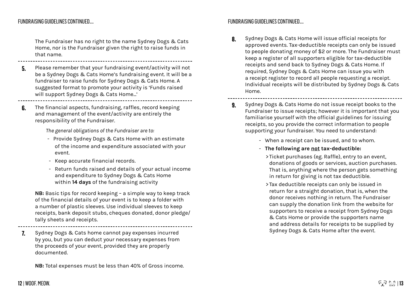#### FUNDRAISING GUIDELINES CONTINUED....

The Fundraiser has no right to the name Sydney Dogs & Cats Home, nor is the Fundraiser given the right to raise funds in that name.

- Please remember that your fundraising event/activity will not be a Sydney Dogs & Cats Home's fundraising event. It will be a fundraiser to raise funds for Sydney Dogs & Cats Home. A suggested format to promote your activity is 'Funds raised will support Sydney Dogs & Cats Home...' **5.**
- The financial aspects, fundraising, raffles, record keeping and management of the event/activity are entirely the responsibility of the Fundraiser. **6.**

The general obligations of the Fundraiser are to:

- Provide Sydney Dogs & Cats Home with an estimate of the income and expenditure associated with your event.
- Keep accurate financial records.
- Return funds raised and details of your actual income and expenditure to Sydney Dogs & Cats Home within **14 days** of the fundraising activity

**NB:** Basic tips for record keeping – a simple way to keep track of the financial details of your event is to keep a folder with a number of plastic sleeves. Use individual sleeves to keep receipts, bank deposit stubs, cheques donated, donor pledge/ tally sheets and receipts.

Sydney Dogs & Cats home cannot pay expenses incurred by you, but you can deduct your necessary expenses from the proceeds of your event, provided they are properly documented. **7.**

**NB:** Total expenses must be less than 40% of Gross income.

#### FUNDRAISING GUIDELINES CONTINUED....

- Sydney Dogs & Cats Home will issue official receipts for approved events. Tax-deductible receipts can only be issued to people donating money of \$2 or more. The Fundraiser must keep a register of all supporters eligible for tax-deductible receipts and send back to Sydney Dogs & Cats Home. If required, Sydney Dogs & Cats Home can issue you with a receipt register to record all people requesting a receipt. Individual receipts will be distributed by Sydney Dogs & Cats Home. **8.**
- Sydney Dogs & Cats Home do not issue receipt books to the Fundraiser to issue receipts; however it is important that you familiarise yourself with the official guidelines for issuing receipts, so you provide the correct information to people supporting your fundraiser. You need to understand: **9.**
	- When a receipt can be issued, and to whom.
	- •- **The following are not tax-deductible:**
		- > Ticket purchases (eg. Raffle), entry to an event, donations of goods or services, auction purchases. That is, anything where the person gets something in return for giving is not tax deductible.
		- > Tax deductible receipts can only be issued in return for a straight donation, that is, when the donor receives nothing in return. The Fundraiser can supply the donation link from the website for supporters to receive a receipt from Sydney Dogs & Cats Home or provide the supporters name and address details for receipts to be supplied by Sydney Dogs & Cats Home after the event.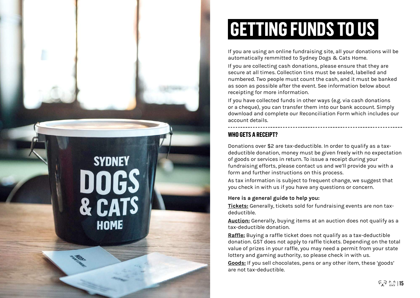

## **GETTING FUNDS TO US**

If you are using an online fundraising site, all your donations will be automatically remmitted to Sydney Dogs & Cats Home.

If you are collecting cash donations, please ensure that they are secure at all times. Collection tins must be sealed, labelled and numbered. Two people must count the cash, and it must be banked as soon as possible after the event. See information below about receipting for more information.

If you have collected funds in other ways (e.g. via cash donations or a cheque), you can transfer them into our bank account. Simply download and complete our Reconciliation Form which includes our account details.

### **WHO GETS A RECEIPT?**

Donations over \$2 are tax-deductible. In order to qualify as a taxdeductible donation, money must be given freely with no expectation of goods or services in return. To issue a receipt during your fundraising efforts, please contact us and we'll provide you with a form and further instructions on this process.

As tax information is subject to frequent change, we suggest that you check in with us if you have any questions or concern.

#### **Here is a general guide to help you:**

**Tickets:** Generally, tickets sold for fundraising events are non taxdeductible.

**Auction:** Generally, buying items at an auction does not qualify as a tax-deductible donation.

**Raffle:** Buying a raffle ticket does not qualify as a tax-deductible donation. GST does not apply to raffle tickets. Depending on the total value of prizes in your raffle, you may need a permit from your state lottery and gaming authority, so please check in with us.

**Goods:** If you sell chocolates, pens or any other item, these 'goods' are not tax-deductible.